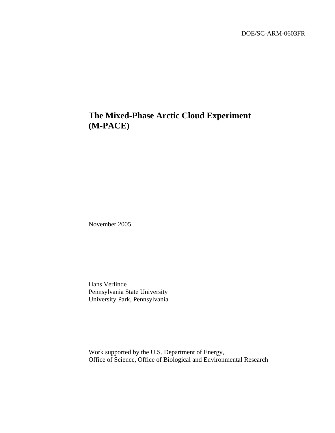# **The Mixed-Phase Arctic Cloud Experiment (M-PACE)**

November 2005

Hans Verlinde Pennsylvania State University University Park, Pennsylvania

Work supported by the U.S. Department of Energy, Office of Science, Office of Biological and Environmental Research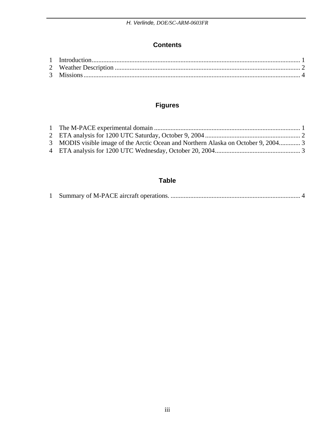#### **Contents**

## **Figures**

| 3 MODIS visible image of the Arctic Ocean and Northern Alaska on October 9, 2004 3 |  |
|------------------------------------------------------------------------------------|--|
|                                                                                    |  |

### **Table**

|--|--|--|--|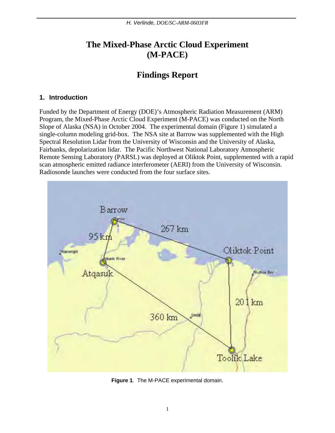## <span id="page-2-0"></span>**The Mixed-Phase Arctic Cloud Experiment (M-PACE)**

# **Findings Report**

#### **1. Introduction**

Funded by the Department of Energy (DOE)'s Atmospheric Radiation Measurement (ARM) Program, the Mixed-Phase Arctic Cloud Experiment (M-PACE) was conducted on the North Slope of Alaska (NSA) in October 2004. The experimental domain (Figure 1) simulated a single-column modeling grid-box. The NSA site at Barrow was supplemented with the High Spectral Resolution Lidar from the University of Wisconsin and the University of Alaska, Fairbanks, depolarization lidar. The Pacific Northwest National Laboratory Atmospheric Remote Sensing Laboratory (PARSL) was deployed at Oliktok Point, supplemented with a rapid scan atmospheric emitted radiance interferometer (AERI) from the University of Wisconsin. Radiosonde launches were conducted from the four surface sites.



**Figure 1**. The M-PACE experimental domain.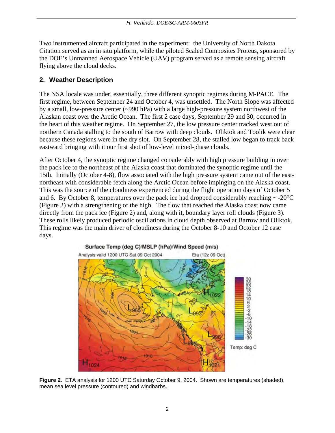<span id="page-3-0"></span>Two instrumented aircraft participated in the experiment: the University of North Dakota Citation served as an in situ platform, while the piloted Scaled Composites Proteus, sponsored by the DOE's Unmanned Aerospace Vehicle (UAV) program served as a remote sensing aircraft flying above the cloud decks.

### **2. Weather Description**

The NSA locale was under, essentially, three different synoptic regimes during M-PACE. The first regime, between September 24 and October 4, was unsettled. The North Slope was affected by a small, low-pressure center (~990 hPa) with a large high-pressure system northwest of the Alaskan coast over the Arctic Ocean. The first 2 case days, September 29 and 30, occurred in the heart of this weather regime. On September 27, the low pressure center tracked west out of northern Canada stalling to the south of Barrow with deep clouds. Oliktok and Toolik were clear because these regions were in the dry slot. On September 28, the stalled low began to track back eastward bringing with it our first shot of low-level mixed-phase clouds.

After October 4, the synoptic regime changed considerably with high pressure building in over the pack ice to the northeast of the Alaska coast that dominated the synoptic regime until the 15th. Initially (October 4-8), flow associated with the high pressure system came out of the eastnortheast with considerable fetch along the Arctic Ocean before impinging on the Alaska coast. This was the source of the cloudiness experienced during the flight operation days of October 5 and 6. By October 8, temperatures over the pack ice had dropped considerably reaching  $\sim$  -20 $\degree$ C (Figure 2) with a strengthening of the high. The flow that reached the Alaska coast now came directly from the pack ice (Figure 2) and, along with it, boundary layer roll clouds (Figure 3). These rolls likely produced periodic oscillations in cloud depth observed at Barrow and Oliktok. This regime was the main driver of cloudiness during the October 8-10 and October 12 case days.



**Figure 2**. ETA analysis for 1200 UTC Saturday October 9, 2004. Shown are temperatures (shaded), mean sea level pressure (contoured) and windbarbs.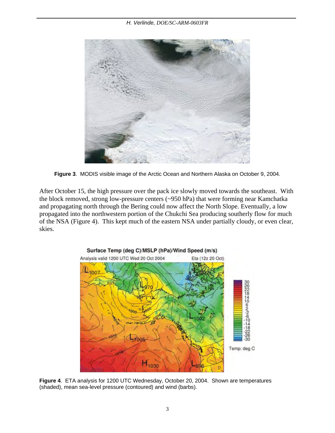<span id="page-4-0"></span>

**Figure 3**. MODIS visible image of the Arctic Ocean and Northern Alaska on October 9, 2004.

After October 15, the high pressure over the pack ice slowly moved towards the southeast. With the block removed, strong low-pressure centers (~950 hPa) that were forming near Kamchatka and propagating north through the Bering could now affect the North Slope. Eventually, a low propagated into the northwestern portion of the Chukchi Sea producing southerly flow for much of the NSA (Figure 4). This kept much of the eastern NSA under partially cloudy, or even clear, skies.



**Figure 4**. ETA analysis for 1200 UTC Wednesday, October 20, 2004. Shown are temperatures (shaded), mean sea-level pressure (contoured) and wind (barbs).